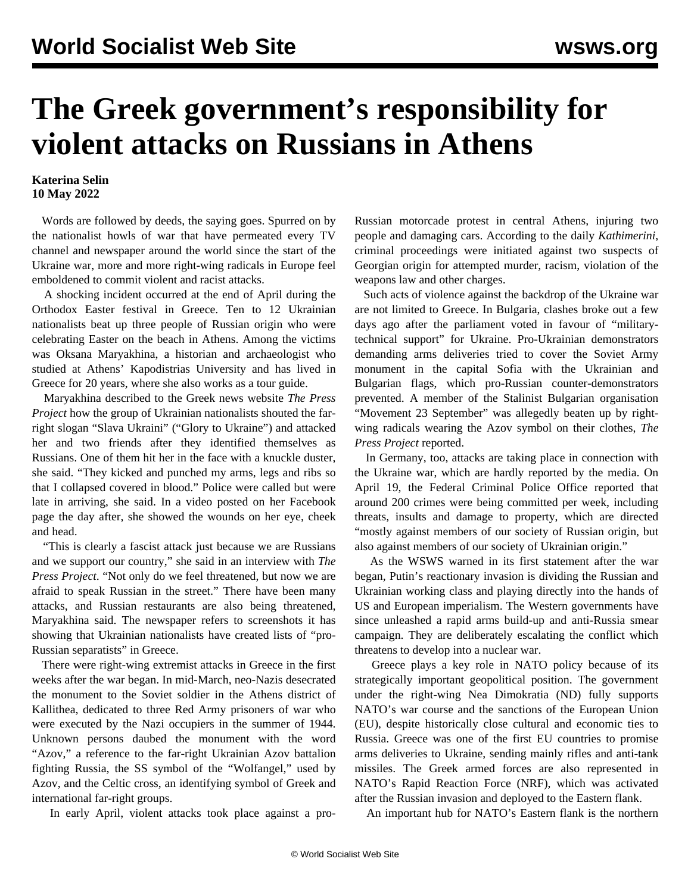## **The Greek government's responsibility for violent attacks on Russians in Athens**

## **Katerina Selin 10 May 2022**

 Words are followed by deeds, the saying goes. Spurred on by the nationalist howls of war that have permeated every TV channel and newspaper around the world since the start of the Ukraine war, more and more right-wing radicals in Europe feel emboldened to commit violent and racist attacks.

 A shocking incident occurred at the end of April during the Orthodox Easter festival in Greece. Ten to 12 Ukrainian nationalists beat up three people of Russian origin who were celebrating Easter on the beach in Athens. Among the victims was Oksana Maryakhina, a historian and archaeologist who studied at Athens' Kapodistrias University and has lived in Greece for 20 years, where she also works as a tour guide.

 Maryakhina described to the Greek news website *The Press Project* how the group of Ukrainian nationalists shouted the farright slogan "Slava Ukraini" ("Glory to Ukraine") and attacked her and two friends after they identified themselves as Russians. One of them hit her in the face with a knuckle duster, she said. "They kicked and punched my arms, legs and ribs so that I collapsed covered in blood." Police were called but were late in arriving, she said. In a video posted on her Facebook page the day after, she showed the wounds on her eye, cheek and head.

 "This is clearly a fascist attack just because we are Russians and we support our country," she said in an interview with *The Press Project*. "Not only do we feel threatened, but now we are afraid to speak Russian in the street." There have been many attacks, and Russian restaurants are also being threatened, Maryakhina said. The newspaper refers to screenshots it has showing that Ukrainian nationalists have created lists of "pro-Russian separatists" in Greece.

 There were right-wing extremist attacks in Greece in the first weeks after the war began. In mid-March, neo-Nazis desecrated the monument to the Soviet soldier in the Athens district of Kallithea, dedicated to three Red Army prisoners of war who were executed by the Nazi occupiers in the summer of 1944. Unknown persons daubed the monument with the word "Azov," a reference to the far-right Ukrainian Azov battalion fighting Russia, the SS symbol of the "Wolfangel," used by Azov, and the Celtic cross, an identifying symbol of Greek and international far-right groups.

In early April, violent attacks took place against a pro-

Russian motorcade protest in central Athens, injuring two people and damaging cars. According to the daily *Kathimerini*, criminal proceedings were initiated against two suspects of Georgian origin for attempted murder, racism, violation of the weapons law and other charges.

 Such acts of violence against the backdrop of the Ukraine war are not limited to Greece. In Bulgaria, clashes broke out a few days ago after the parliament voted in favour of "militarytechnical support" for Ukraine. Pro-Ukrainian demonstrators demanding arms deliveries tried to cover the Soviet Army monument in the capital Sofia with the Ukrainian and Bulgarian flags, which pro-Russian counter-demonstrators prevented. A member of the Stalinist Bulgarian organisation "Movement 23 September" was allegedly beaten up by rightwing radicals wearing the Azov symbol on their clothes, *The Press Project* reported.

 In Germany, too, attacks are taking place in connection with the Ukraine war, which are hardly reported by the media. On April 19, the Federal Criminal Police Office reported that around 200 crimes were being committed per week, including threats, insults and damage to property, which are directed "mostly against members of our society of Russian origin, but also against members of our society of Ukrainian origin."

 As the WSWS warned in its first [statement](/en/articles/2022/02/25/pers-f25.html) after the war began, Putin's reactionary invasion is dividing the Russian and Ukrainian working class and playing directly into the hands of US and European imperialism. The Western governments have since unleashed a rapid arms build-up and anti-Russia smear campaign. They are deliberately escalating the conflict which threatens to develop into a nuclear war.

 Greece plays a key role in NATO policy because of its strategically important geopolitical position. The government under the right-wing Nea Dimokratia (ND) fully supports NATO's war course and the sanctions of the European Union (EU), despite historically close cultural and economic ties to Russia. Greece was one of the first EU countries to promise arms deliveries to Ukraine, sending mainly rifles and anti-tank missiles. The Greek armed forces are also represented in NATO's Rapid Reaction Force (NRF), which was activated after the Russian invasion and deployed to the Eastern flank.

An important hub for NATO's Eastern flank is the northern